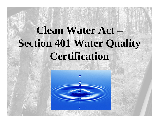# **Clean Water Act – Section 401 Water Quality Certification**

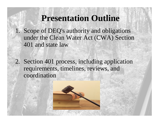#### **Presentation Outline**

- 1. Scope of DEQ's authority and obligations under the Clean Water Act (CWA) Section 401 and state law
- 2. Section 401 process, including application requirements, timelines, reviews, and coordination

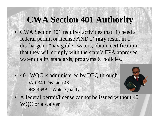### **CWA Section 401 Authority**

- CWA Section 401 requires activities that: 1) need a federal permit or license AND 2) **may** result in a discharge to "navigable" waters, obtain certification that they will comply with the state's EPA approved water quality standards, programs & policies.
- 401 WQC is administered by DEQ through:
	- OAR 340 Division 48
	- ORS 468B Water Quality
- A federal permit/license cannot be issued without 401 WQC or a waiver

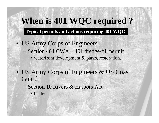## **When is 401 WQC required ?**

**Typical permits and actions requiring 401 WQC**

- US Army Corps of Engineers
	- Section 404 CWA 401 dredge/fill permit
		- waterfront development & parks, restoration...
- US Army Corps of Engineers & US Coast Guard
	- Section 10 Rivers & Harbors Act
		- bridges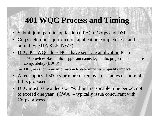### **401 WQC Process and Timing**

- Submit joint permit application (JPA) to Corps and DSL
- Corps determines jurisdiction, application completeness, and permit type (IP, RGP, NWP)
- DEQ 401 WQC does NOT have separate application form
	- JPA provides Basic Info applicant name, legal info, project info, land use compatibility (LUCS)
	- DEQ asks for more information to determine water quality impacts
- A fee applies if 500 cy or more of removal or 2 acres or more of fill is proposed.
- DEQ must issue a decision "within a reasonable time period, not to exceed one year"  $(CWA)$  – typically issue concurrent with Corps process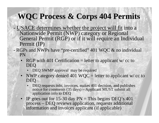#### **WQC Process & Corps 404 Permits**

- USACE determines whether the project will fit into a Nationwide Permit (NWP) category or Regional General Permit (RGP) or if it will require an Individual Permit (IP)
- RGPs and NWPs have "pre-certified" 401 WQC & no individual PN
	- RGP with 401 Certification  $=$  letter to applicant w/ cc to DEQ
		- DEQ SWMP approval may be required
	- NWP category denied 401 WQC = letter to applicant w/ cc to DEQ
		- DEQ requests info, invoices, makes 401 decision, and publishes notice for comments (35 days) – Applicant MUST submit all application info to DEQ
	- IP goes out for 15-30 day  $PN = This$  begins DEQ's 401 process – DEQ reviews application, requests additional information and invoices applicant (if applicable)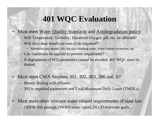#### **401 WQC Evaluation**

- Must meet Water Quality Standards and Antidegradation policy
	- Will Temperature, Turbidity, Dissolved Oxygen, pH, etc. be affected?
	- Will this cause beneficial uses to be impaired?
		- Salmonids and aquatic life, but also drinking water, water contact recreation, etc.
	- Can conditions be applied to prevent impairment?
	- If degradation of WQ parameters cannot be avoided, 401 WQC must be denied.
- Must meet CWA Sections 301, 302, 303, 306 and 307
	- Mostly dealing with effluent.
	- 303 is impaired parameters and Total Maximum Daily Loads (TMDLs).
- Must meet other relevant water related requirements of state law – ODFW fish passage, OWRD water rights, DLCD statewide goals…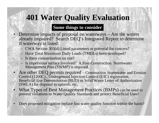#### **401 Water Quality Evaluation**

#### **Some things to consider**

- Determine impacts of proposal on waterways Are the waters already impaired? Search DEQ's Integrated Report to determine if waterway is listed:
	- CWA Section 303(d) Listed parameters or potential for concern?
	- Have Total Maximum Daily Loads (TMDLs) been developed?
	- Is there contamination on site?
	- Is impervious surface involved? A Post-Construction Stormwater Management Plan (SWMP) is required.
- Are other DEQ permits required Construction Stormwater and Erosion Control (1200C), Underground Injection Control (UIC) registration, Beneficial Use Determination (BUD) or Solid Waste Letter of Authorization (SWLA) for disposal to uplands, etc.
- What Types of Best Management Practices (BMPs) can be used to prevent violations to Water Quality Standards and protect Beneficial Uses?
- Does proposed mitigation replace lost water quality function within the basin?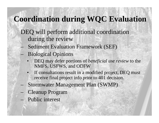## **Coordination during WQC Evaluation**

#### DEQ will perform additional coordination during the review

- Sediment Evaluation Framework (SEF)
- Biological Opinions
	- DEQ may defer portions of *beneficial use review* to the NMFS, USFWS, and ODFW
	- If consultations result in a modified project, DEQ must receive final project info prior to 401 decision.
- Stormwater Management Plan (SWMP)
	- Cleanup Program
- Public interest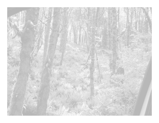